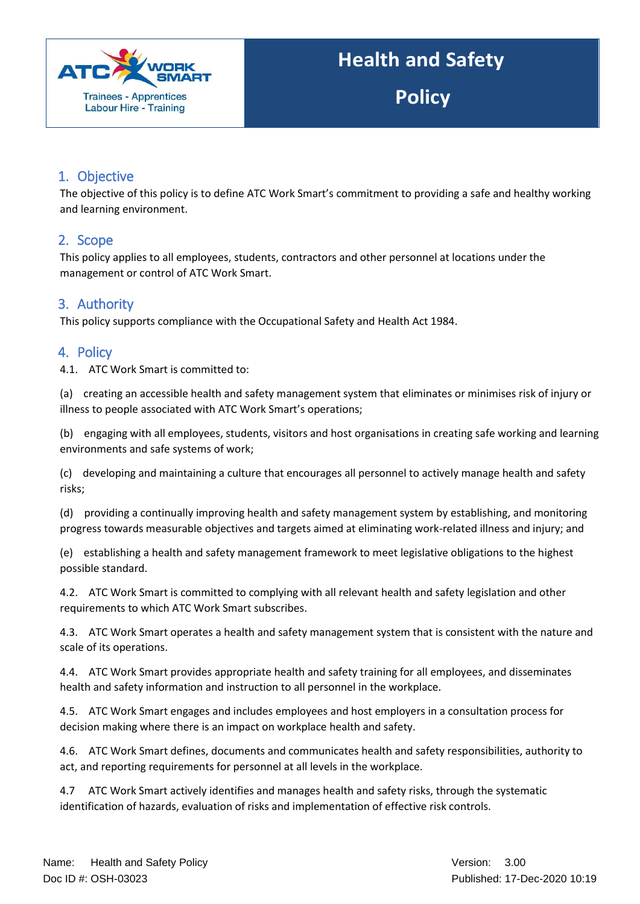

**Policy**

## 1. Objective

The objective of this policy is to define ATC Work Smart's commitment to providing a safe and healthy working and learning environment.

### 2. Scope

This policy applies to all employees, students, contractors and other personnel at locations under the management or control of ATC Work Smart.

# 3. Authority

This policy supports compliance with the Occupational Safety and Health Act 1984.

### 4. Policy

4.1. ATC Work Smart is committed to:

(a) creating an accessible health and safety management system that eliminates or minimises risk of injury or illness to people associated with ATC Work Smart's operations;

(b) engaging with all employees, students, visitors and host organisations in creating safe working and learning environments and safe systems of work;

(c) developing and maintaining a culture that encourages all personnel to actively manage health and safety risks;

(d) providing a continually improving health and safety management system by establishing, and monitoring progress towards measurable objectives and targets aimed at eliminating work-related illness and injury; and

(e) establishing a health and safety management framework to meet legislative obligations to the highest possible standard.

4.2. ATC Work Smart is committed to complying with all relevant health and safety legislation and other requirements to which ATC Work Smart subscribes.

4.3. ATC Work Smart operates a health and safety management system that is consistent with the nature and scale of its operations.

4.4. ATC Work Smart provides appropriate health and safety training for all employees, and disseminates health and safety information and instruction to all personnel in the workplace.

4.5. ATC Work Smart engages and includes employees and host employers in a consultation process for decision making where there is an impact on workplace health and safety.

4.6. ATC Work Smart defines, documents and communicates health and safety responsibilities, authority to act, and reporting requirements for personnel at all levels in the workplace.

4.7 ATC Work Smart actively identifies and manages health and safety risks, through the systematic identification of hazards, evaluation of risks and implementation of effective risk controls.